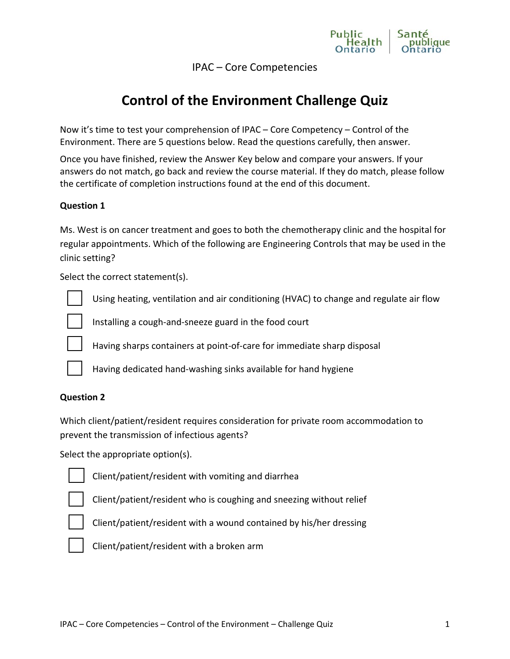

IPAC – Core Competencies

# **Control of the Environment Challenge Quiz**

Now it's time to test your comprehension of IPAC – Core Competency – Control of the Environment. There are 5 questions below. Read the questions carefully, then answer.

Once you have finished, review the Answer Key below and compare your answers. If your answers do not match, go back and review the course material. If they do match, please follow the certificate of completion instructions found at the end of this document.

## **Question 1**

Ms. West is on cancer treatment and goes to both the chemotherapy clinic and the hospital for regular appointments. Which of the following are Engineering Controls that may be used in the clinic setting?

Select the correct statement(s).



Using heating, ventilation and air conditioning (HVAC) to change and regulate air flow



Installing a cough-and-sneeze guard in the food court



Having sharps containers at point-of-care for immediate sharp disposal



Having dedicated hand-washing sinks available for hand hygiene

## **Question 2**

Which client/patient/resident requires consideration for private room accommodation to prevent the transmission of infectious agents?

Select the appropriate option(s).



Client/patient/resident with vomiting and diarrhea



Client/patient/resident who is coughing and sneezing without relief



Client/patient/resident with a wound contained by his/her dressing



Client/patient/resident with a broken arm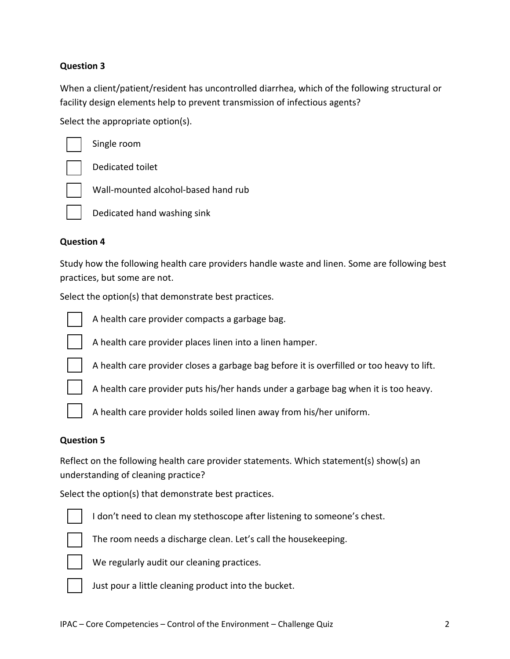## **Question 3**

When a client/patient/resident has uncontrolled diarrhea, which of the following structural or facility design elements help to prevent transmission of infectious agents?

Select the appropriate option(s).



Single room



Dedicated toilet



Dedicated hand washing sink

Wall-mounted alcohol-based hand rub

#### **Question 4**

Study how the following health care providers handle waste and linen. Some are following best practices, but some are not.

Select the option(s) that demonstrate best practices.



A health care provider compacts a garbage bag.



A health care provider places linen into a linen hamper.



A health care provider closes a garbage bag before it is overfilled or too heavy to lift.



A health care provider puts his/her hands under a garbage bag when it is too heavy.



A health care provider holds soiled linen away from his/her uniform.

#### **Question 5**

Reflect on the following health care provider statements. Which statement(s) show(s) an understanding of cleaning practice?

Select the option(s) that demonstrate best practices.



I don't need to clean my stethoscope after listening to someone's chest.



The room needs a discharge clean. Let's call the housekeeping.



We regularly audit our cleaning practices.



Just pour a little cleaning product into the bucket.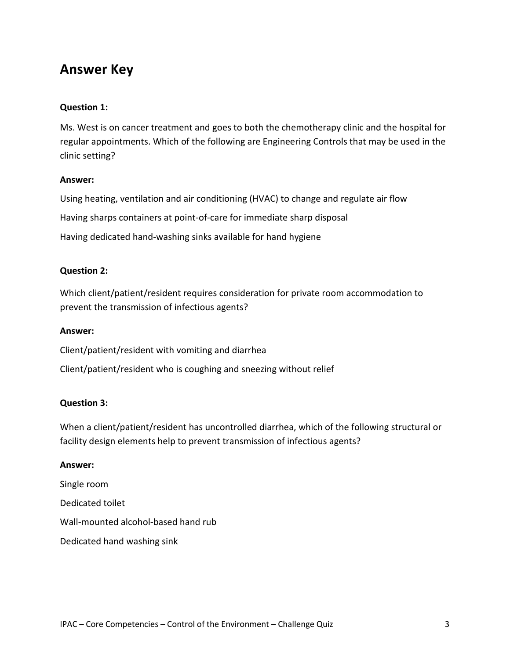## **Answer Key**

## **Question 1:**

Ms. West is on cancer treatment and goes to both the chemotherapy clinic and the hospital for regular appointments. Which of the following are Engineering Controls that may be used in the clinic setting?

## **Answer:**

Using heating, ventilation and air conditioning (HVAC) to change and regulate air flow Having sharps containers at point-of-care for immediate sharp disposal Having dedicated hand-washing sinks available for hand hygiene

## **Question 2:**

Which client/patient/resident requires consideration for private room accommodation to prevent the transmission of infectious agents?

#### **Answer:**

Client/patient/resident with vomiting and diarrhea

Client/patient/resident who is coughing and sneezing without relief

## **Question 3:**

When a client/patient/resident has uncontrolled diarrhea, which of the following structural or facility design elements help to prevent transmission of infectious agents?

#### **Answer:**

Single room Dedicated toilet Wall-mounted alcohol-based hand rub Dedicated hand washing sink